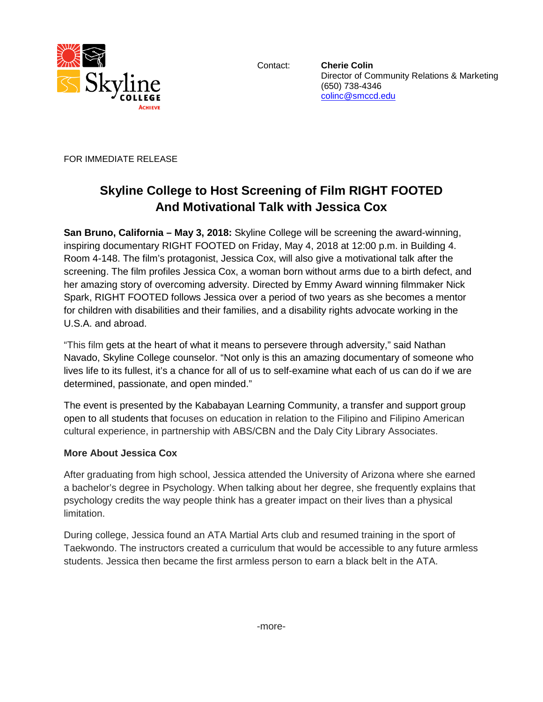

Contact: **Cherie Colin** Director of Community Relations & Marketing (650) 738-4346 [colinc@smccd.edu](mailto:colinc@smccd.edu) 

FOR IMMEDIATE RELEASE

## **Skyline College to Host Screening of Film RIGHT FOOTED And Motivational Talk with Jessica Cox**

**San Bruno, California – May 3, 2018:** Skyline College will be screening the award-winning, inspiring documentary RIGHT FOOTED on Friday, May 4, 2018 at 12:00 p.m. in Building 4. Room 4-148. The film's protagonist, Jessica Cox, will also give a motivational talk after the screening. The film profiles Jessica Cox, a woman born without arms due to a birth defect, and her amazing story of overcoming adversity. Directed by Emmy Award winning filmmaker Nick Spark, RIGHT FOOTED follows Jessica over a period of two years as she becomes a mentor for children with disabilities and their families, and a disability rights advocate working in the U.S.A. and abroad.

"This film gets at the heart of what it means to persevere through adversity," said Nathan Navado, Skyline College counselor. "Not only is this an amazing documentary of someone who lives life to its fullest, it's a chance for all of us to self-examine what each of us can do if we are determined, passionate, and open minded."

The event is presented by the Kababayan Learning Community, a transfer and support group open to all students that focuses on education in relation to the Filipino and Filipino American cultural experience, in partnership with ABS/CBN and the Daly City Library Associates.

## **More About Jessica Cox**

After graduating from high school, Jessica attended the University of Arizona where she earned a bachelor's degree in Psychology. When talking about her degree, she frequently explains that psychology credits the way people think has a greater impact on their lives than a physical limitation.

During college, Jessica found an ATA Martial Arts club and resumed training in the sport of Taekwondo. The instructors created a curriculum that would be accessible to any future armless students. Jessica then became the first armless person to earn a black belt in the ATA.